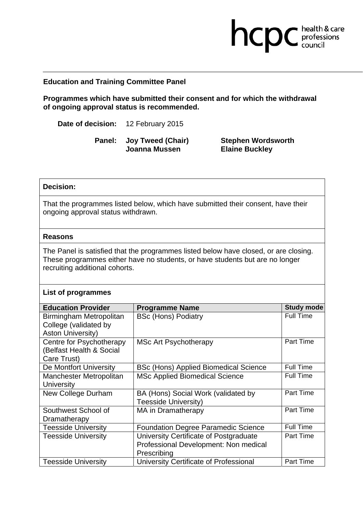## **Education and Training Committee Panel**

**Programmes which have submitted their consent and for which the withdrawal of ongoing approval status is recommended.** 

**Date of decision:** 12 February 2015

**Panel: Joy Tweed (Chair) Joanna Mussen** 

**Stephen Wordsworth Elaine Buckley** 

hcpc health & care

## **Decision:**

That the programmes listed below, which have submitted their consent, have their ongoing approval status withdrawn.

## **Reasons**

The Panel is satisfied that the programmes listed below have closed, or are closing. These programmes either have no students, or have students but are no longer recruiting additional cohorts.

## **List of programmes**

| <b>Education Provider</b>  | <b>Programme Name</b>                        | <b>Study mode</b> |
|----------------------------|----------------------------------------------|-------------------|
| Birmingham Metropolitan    | <b>BSc (Hons) Podiatry</b>                   | <b>Full Time</b>  |
| College (validated by      |                                              |                   |
| <b>Aston University)</b>   |                                              |                   |
| Centre for Psychotherapy   | <b>MSc Art Psychotherapy</b>                 | <b>Part Time</b>  |
| (Belfast Health & Social   |                                              |                   |
| Care Trust)                |                                              |                   |
| De Montfort University     | <b>BSc (Hons) Applied Biomedical Science</b> | <b>Full Time</b>  |
| Manchester Metropolitan    | <b>MSc Applied Biomedical Science</b>        | <b>Full Time</b>  |
| <b>University</b>          |                                              |                   |
| New College Durham         | BA (Hons) Social Work (validated by          | Part Time         |
|                            | Teesside University)                         |                   |
| Southwest School of        | MA in Dramatherapy                           | <b>Part Time</b>  |
| Dramatherapy               |                                              |                   |
| <b>Teesside University</b> | <b>Foundation Degree Paramedic Science</b>   | <b>Full Time</b>  |
| <b>Teesside University</b> | University Certificate of Postgraduate       | <b>Part Time</b>  |
|                            | Professional Development: Non medical        |                   |
|                            | Prescribing                                  |                   |
| <b>Teesside University</b> | University Certificate of Professional       | <b>Part Time</b>  |